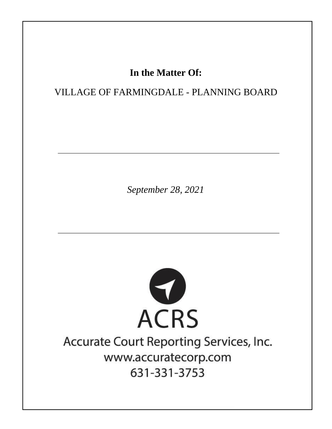# In the Matter Of:

## VILLAGE OF FARMINGDALE - PLANNING BOARD

September 28, 2021



# Accurate Court Reporting Services, Inc. www.accuratecorp.com 631-331-3753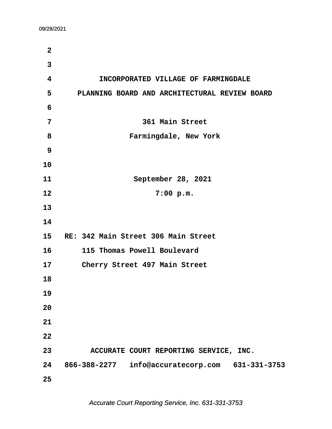**·2 ·3 ·4· · · · · ·INCORPORATED VILLAGE OF FARMINGDALE ·5· · · PLANNING BOARD AND ARCHITECTURAL REVIEW BOARD ·6 ·7· · · · · · · · · · ·361 Main Street ·8· · · · · · · · · Farmingdale, New York ·9 10 11· · · · · · · · · ·September 28, 2021 12** 7:00 p.m. **13 14 15· ·RE: 342 Main Street 306 Main Street 16· · · ·115 Thomas Powell Boulevard 17· · · ·Cherry Street 497 Main Street 18 19 20 21 22 23· · · · ·ACCURATE COURT REPORTING SERVICE, INC. 24· ·866-388-2277· ·info@accuratecorp.com· ·631-331-3753 25**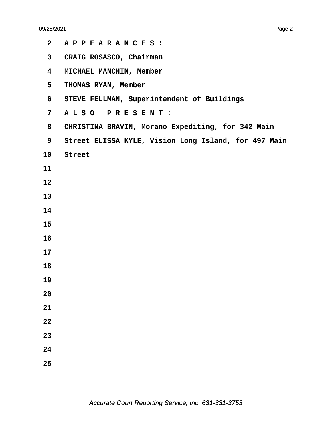| $\mathbf{2}$            | APPEARANCES :                                        |
|-------------------------|------------------------------------------------------|
| $\mathbf{3}$            | CRAIG ROSASCO, Chairman                              |
| $\overline{\mathbf{4}}$ | MICHAEL MANCHIN, Member                              |
| 5                       | THOMAS RYAN, Member                                  |
| 6                       | STEVE FELLMAN, Superintendent of Buildings           |
| 7 <sup>1</sup>          | ALSO PRESENT:                                        |
| 8                       | CHRISTINA BRAVIN, Morano Expediting, for 342 Main    |
| 9                       | Street ELISSA KYLE, Vision Long Island, for 497 Main |
| 10 <sub>1</sub>         | Street                                               |
| 11                      |                                                      |
| 12                      |                                                      |
| 13                      |                                                      |
| 14                      |                                                      |
| 15                      |                                                      |
| 16                      |                                                      |
| 17                      |                                                      |
| 18                      |                                                      |
| 19                      |                                                      |
| 20                      |                                                      |
| 21                      |                                                      |
| 22                      |                                                      |
| 23                      |                                                      |
| 24                      |                                                      |
| 25                      |                                                      |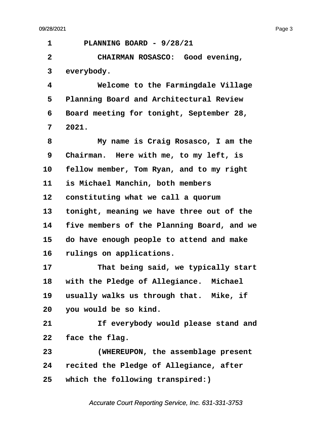<span id="page-3-0"></span>**·1· · · ·PLANNING BOARD - 9/28/21 ·2· · · · · CHAIRMAN ROSASCO:· Good evening,** 3 everybody. **·4· · · · · Welcome to the Farmingdale Village ·5· ·Planning Board and Architectural Review ·6· ·Board meeting for tonight, September 28, ·7· ·2021. ·8· · · · · My name is Craig Rosasco, I am the ·9· ·Chairman.· Here with me, to my left, is** 10 **fellow member, Tom Ryan, and to my right** 11 is Michael Manchin, both members 12 **constituting what we call a quorum** 13 tonight, meaning we have three out of the **14· ·five members of the Planning Board, and we 15· ·do have enough people to attend and make** 16 rulings on applications. 17 **• · · · · · · That being said, we typically start** 18 with the Pledge of Allegiance. Michael 19 usually walks us through that. Mike, if **20· ·you would be so kind.** 21 **11 If everybody would please stand and** 22 **face the flag. 23· · · · · (WHEREUPON, the assemblage present 24· ·recited the Pledge of Allegiance, after 25· ·which the following transpired:)**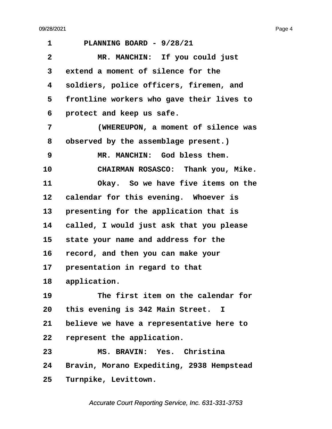<span id="page-4-0"></span>

| 1            | PLANNING BOARD - 9/28/21                  |
|--------------|-------------------------------------------|
| $\mathbf{2}$ | MR. MANCHIN: If you could just            |
| 3            | extend a moment of silence for the        |
| 4            | soldiers, police officers, firemen, and   |
| 5            | frontline workers who gave their lives to |
| 6            | protect and keep us safe.                 |
| 7            | (WHEREUPON, a moment of silence was       |
| 8            | observed by the assemblage present.)      |
| 9            | MR. MANCHIN: God bless them.              |
| 10           | CHAIRMAN ROSASCO: Thank you, Mike.        |
| 11           | Okay. So we have five items on the        |
| 12           | calendar for this evening. Whoever is     |
| 13           | presenting for the application that is    |
| 14           | called, I would just ask that you please  |
| 15           | state your name and address for the       |
| 16           | record, and then you can make your        |
| 17           | presentation in regard to that            |
| 18           | application.                              |
| 19           | The first item on the calendar for        |
| 20           | this evening is 342 Main Street. I        |
| 21           | believe we have a representative here to  |
| 22           | represent the application.                |
| 23           | MS. BRAVIN: Yes. Christina                |
| 24           | Bravin, Morano Expediting, 2938 Hempstead |
| 25           | Turnpike, Levittown.                      |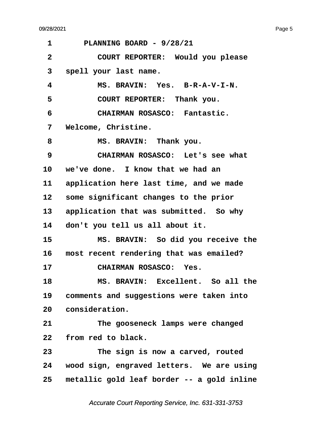<span id="page-5-0"></span>

| 1            | PLANNING BOARD - 9/28/21                   |
|--------------|--------------------------------------------|
| $\mathbf{2}$ | COURT REPORTER: Would you please           |
| 3            | spell your last name.                      |
| 4            | MS. BRAVIN: Yes. B-R-A-V-I-N.              |
| 5            | COURT REPORTER: Thank you.                 |
| 6            | CHAIRMAN ROSASCO: Fantastic.               |
| 7            | Welcome, Christine.                        |
| 8            | MS. BRAVIN: Thank you.                     |
| 9            | CHAIRMAN ROSASCO: Let's see what           |
| 10           | we've done. I know that we had an          |
| 11           | application here last time, and we made    |
| 12           | some significant changes to the prior      |
| 13           | application that was submitted. So why     |
| 14           | don't you tell us all about it.            |
| 15           | MS. BRAVIN: So did you receive the         |
| 16           | most recent rendering that was emailed?    |
| 17           | CHAIRMAN ROSASCO: Yes.                     |
| 18           | MS. BRAVIN: Excellent. So all the          |
| 19           | comments and suggestions were taken into   |
| 20           | consideration.                             |
| 21           | The gooseneck lamps were changed           |
| 22           | from red to black.                         |
| 23           | The sign is now a carved, routed           |
| 24           | wood sign, engraved letters. We are using  |
| 25           | metallic gold leaf border -- a gold inline |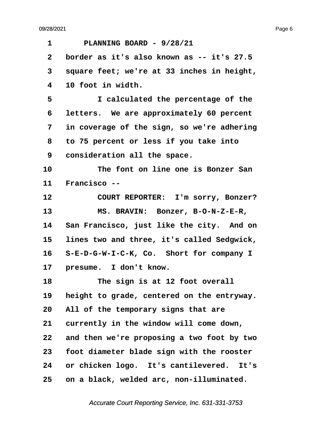<span id="page-6-0"></span>**·1· · · ·PLANNING BOARD - 9/28/21 ·2· ·border as it's also known as -- it's 27.5 ·3· ·square feet; we're at 33 inches in height, ·4· ·10 foot in width. ·5· · · · · I calculated the percentage of the ·6· ·letters.· We are approximately 60 percent ·7· ·in coverage of the sign, so we're adhering ·8· ·to 75 percent or less if you take into ·9· ·consideration all the space. 10· · · · · The font on line one is Bonzer San** 11 Francisco --12 **COURT REPORTER:** I'm sorry, Bonzer? 13 MS. BRAVIN: Bonzer, B-O-N-Z-E-R, 14 San Francisco, just like the city. And on **15· ·lines two and three, it's called Sedgwick,** 16 S-E-D-G-W-I-C-K, Co. Short for company I 17 **presume.** I don't know. 18 **The sign is at 12 foot overall** 19 height to grade, centered on the entryway. **20· ·All of the temporary signs that are** 21 currently in the window will come down, **22· ·and then we're proposing a two foot by two 23· ·foot diameter blade sign with the rooster** 24 or chicken logo. It's cantilevered. It's **25· ·on a black, welded arc, non-illuminated.**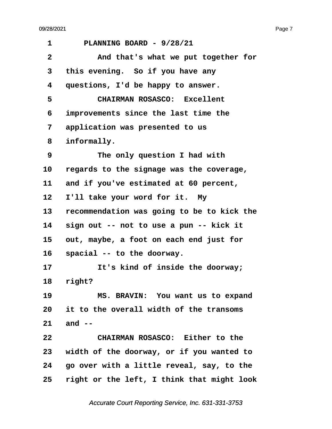<span id="page-7-0"></span>

| 1            | PLANNING BOARD - 9/28/21                   |  |
|--------------|--------------------------------------------|--|
| $\mathbf{2}$ | And that's what we put together for        |  |
| 3            | this evening. So if you have any           |  |
| 4            | questions, I'd be happy to answer.         |  |
| 5            | CHAIRMAN ROSASCO: Excellent                |  |
| 6            | improvements since the last time the       |  |
| 7            | application was presented to us            |  |
| 8            | informally.                                |  |
| 9            | The only question I had with               |  |
| 10           | regards to the signage was the coverage,   |  |
| 11           | and if you've estimated at 60 percent,     |  |
| 12           | I'll take your word for it. My             |  |
| 13           | recommendation was going to be to kick the |  |
| 14           | sign out -- not to use a pun -- kick it    |  |
| 15           | out, maybe, a foot on each end just for    |  |
| 16           | spacial -- to the doorway.                 |  |
| 17           | It's kind of inside the doorway;           |  |
| 18           | right?                                     |  |
| 19           | MS. BRAVIN: You want us to expand          |  |
|              | 20 it to the overall width of the transoms |  |
| 21           | and $-$                                    |  |
| 22           | CHAIRMAN ROSASCO: Either to the            |  |
| 23           | width of the doorway, or if you wanted to  |  |
| 24           | go over with a little reveal, say, to the  |  |
| 25           | right or the left, I think that might look |  |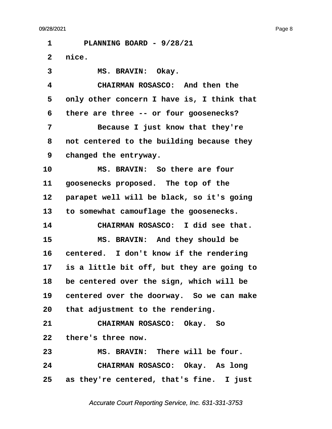<span id="page-8-0"></span>**·1· · · ·PLANNING BOARD - 9/28/21** 2 nice. 3 **MS. BRAVIN: Okay. ·4· · · · · CHAIRMAN ROSASCO:· And then the ·5· ·only other concern I have is, I think that ·6· ·there are three -- or four goosenecks? ·7· · · · · Because I just know that they're ·8· ·not centered to the building because they ·9· ·changed the entryway.** 10 **8 · MS. BRAVIN:** So there are four 11 **goosenecks proposed.** The top of the 12 **parapet well will be black, so it's going 13· ·to somewhat camouflage the goosenecks. 14· · · · · CHAIRMAN ROSASCO:· I did see that.** 15 **MS. BRAVIN:** And they should be 16 centered. I don't know if the rendering **17· ·is a little bit off, but they are going to 18· ·be centered over the sign, which will be** 19 centered over the doorway. So we can make **20· ·that adjustment to the rendering. 21· · · · · CHAIRMAN ROSASCO:· Okay.· So** 22 there's three now. **23· · · · · MS. BRAVIN:· There will be four. 24· · · · · CHAIRMAN ROSASCO:· Okay.· As long** 25 as they're centered, that's fine. I just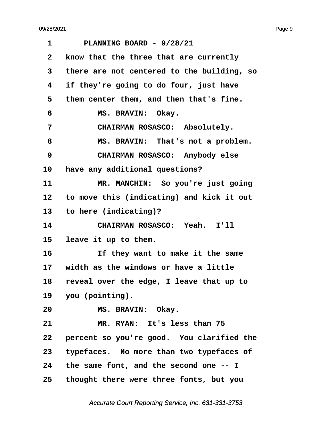e de la provincia de la provincia de la provincia de la provincia de la provincia de la provincia de la provincia de la provincia de la provincia de la provincia de la provincia de la provincia de la provincia de la provin

<span id="page-9-0"></span>

| 1            | PLANNING BOARD - 9/28/21                   |
|--------------|--------------------------------------------|
| $\mathbf{2}$ | know that the three that are currently     |
| 3            | there are not centered to the building, so |
| 4            | if they're going to do four, just have     |
| 5            | them center them, and then that's fine.    |
| 6            | MS. BRAVIN: Okay.                          |
| 7            | CHAIRMAN ROSASCO: Absolutely.              |
| 8            | MS. BRAVIN: That's not a problem.          |
| 9            | CHAIRMAN ROSASCO: Anybody else             |
| 10           | have any additional questions?             |
| 11           | MR. MANCHIN: So you're just going          |
| 12           | to move this (indicating) and kick it out  |
| 13           | to here (indicating)?                      |
| 14           | CHAIRMAN ROSASCO: Yeah. I'll               |
| 15           | leave it up to them.                       |
| 16           | If they want to make it the same           |
| 17           | width as the windows or have a little      |
| 18           | reveal over the edge, I leave that up to   |
|              | 19 you (pointing).                         |
| 20           | MS. BRAVIN: Okay.                          |
| 21           | MR. RYAN: It's less than 75                |
| 22           | percent so you're good. You clarified the  |
| 23           | typefaces. No more than two typefaces of   |
|              | 24 the same font, and the second one -- I  |
| 25           | thought there were three fonts, but you    |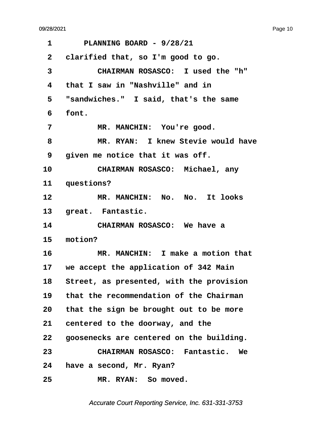<span id="page-10-0"></span>**·1· · · ·PLANNING BOARD - 9/28/21 ·2· ·clarified that, so I'm good to go. ·3· · · · · CHAIRMAN ROSASCO:· I used the "h" ·4· ·that I saw in "Nashville" and in ·5· ·"sandwiches."· I said, that's the same ·6· ·font.** 7 MR. MANCHIN: You're good. **·8· · · · · MR. RYAN:· I knew Stevie would have ·9· ·given me notice that it was off.** 10 **CHAIRMAN ROSASCO:** Michael, any 11 questions? 12 **MR. MANCHIN: No. No.** It looks 13 great. Fantastic. 14 **CHAIRMAN ROSASCO:** We have a **15· ·motion? 16· · · · · MR. MANCHIN:· I make a motion that** 17 we accept the application of 342 Main 18 Street, as presented, with the provision **19· ·that the recommendation of the Chairman 20· ·that the sign be brought out to be more** 21 centered to the doorway, and the **22· ·goosenecks are centered on the building. 23· · · · · CHAIRMAN ROSASCO:· Fantastic.· We 24· ·have a second, Mr. Ryan?** 25 MR. RYAN: So moved.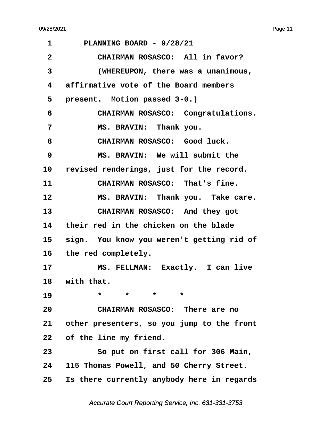<span id="page-11-0"></span>**·1· · · ·PLANNING BOARD - 9/28/21 ·2· · · · · CHAIRMAN ROSASCO:· All in favor? ·3· · · · · (WHEREUPON, there was a unanimous, ·4· ·affirmative vote of the Board members** 5 **present.** Motion passed 3-0.) **·6· · · · · CHAIRMAN ROSASCO:· Congratulations.** 7 **MS. BRAVIN: Thank you.** 8 **· · CHAIRMAN ROSASCO:** Good luck. **·9· · · · · MS. BRAVIN:· We will submit the** 10 revised renderings, just for the record. 11 **CHAIRMAN ROSASCO:** That's fine. 12 **MS. BRAVIN:** Thank you. Take care. 13 **CHAIRMAN ROSASCO:** And they got 14 their red in the chicken on the blade 15 sign. You know you weren't getting rid of 16 the red completely. 17 MS. FELLMAN: Exactly. I can live 18 with that. **19** \* \* \* \* **20· · · · · CHAIRMAN ROSASCO:· There are no 21· ·other presenters, so you jump to the front 22· ·of the line my friend. 23· · · · · So put on first call for 306 Main, 24· ·115 Thomas Powell, and 50 Cherry Street. 25· ·Is there currently anybody here in regards**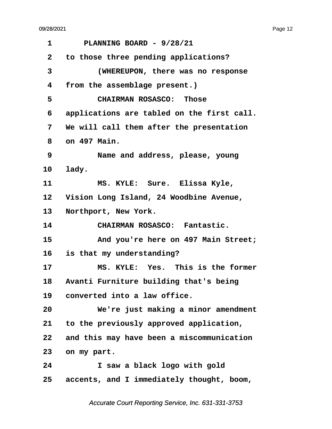<span id="page-12-0"></span>

| 1            | PLANNING BOARD - 9/28/21                   |
|--------------|--------------------------------------------|
| $\mathbf{2}$ | to those three pending applications?       |
| 3            | (WHEREUPON, there was no response          |
| 4            | from the assemblage present.)              |
| 5            | <b>CHAIRMAN ROSASCO: Those</b>             |
| 6            | applications are tabled on the first call. |
| 7            | We will call them after the presentation   |
| 8            | on 497 Main.                               |
| 9            | Name and address, please, young            |
| 10           | lady.                                      |
| 11           | MS. KYLE: Sure. Elissa Kyle,               |
| 12           | Vision Long Island, 24 Woodbine Avenue,    |
| 13           | Northport, New York.                       |
| 14           | CHAIRMAN ROSASCO: Fantastic.               |
| 15           | And you're here on 497 Main Street;        |
| 16 -         | is that my understanding?                  |
| 17           | MS. KYLE: Yes. This is the former          |
| 18           | Avanti Furniture building that's being     |
| 19           | converted into a law office.               |
| 20           | We're just making a minor amendment        |
| 21           | to the previously approved application,    |
| 22           | and this may have been a miscommunication  |
| 23           | on my part.                                |
| 24           | I saw a black logo with gold               |
| 25           | accents, and I immediately thought, boom,  |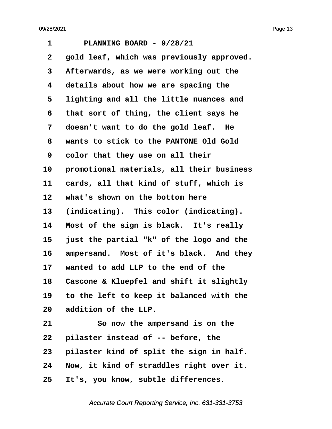<span id="page-13-0"></span>**·1· · · ·PLANNING BOARD - 9/28/21 ·2· ·gold leaf, which was previously approved. ·3· ·Afterwards, as we were working out the ·4· ·details about how we are spacing the ·5· ·lighting and all the little nuances and ·6· ·that sort of thing, the client says he ·7· ·doesn't want to do the gold leaf.· He ·8· ·wants to stick to the PANTONE Old Gold ·9· ·color that they use on all their** 10 **promotional materials, all their business** 11 **cards, all that kind of stuff, which is** 12 what's shown on the bottom here 13 (indicating). This color (indicating). 14 Most of the sign is black. It's really **15· ·just the partial "k" of the logo and the** 16 ampersand. Most of it's black. And they **17· ·wanted to add LLP to the end of the** 18 Cascone & Kluepfel and shift it slightly **19· ·to the left to keep it balanced with the 20· ·addition of the LLP. 21· · · · · So now the ampersand is on the** 22 **pilaster instead of -- before, the** 23 **pilaster kind of split the sign in half. 24· ·Now, it kind of straddles right over it.**

**25· ·It's, you know, subtle differences.**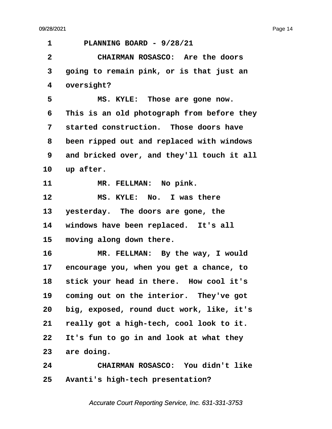<span id="page-14-0"></span>**·1· · · ·PLANNING BOARD - 9/28/21 ·2· · · · · CHAIRMAN ROSASCO:· Are the doors ·3· ·going to remain pink, or is that just an** 4 oversight? 5 MS. KYLE: Those are gone now. **·6· ·This is an old photograph from before they ·7· ·started construction.· Those doors have ·8· ·been ripped out and replaced with windows ·9· ·and bricked over, and they'll touch it all** 10 up after. 11 MR. FELLMAN: No pink. 12 **MS. KYLE:** No. I was there 13 yesterday. The doors are gone, the 14 windows have been replaced. It's all 15 moving along down there. 16 MR. FELLMAN: By the way, I would **17· ·encourage you, when you get a chance, to 18· ·stick your head in there.· How cool it's** 19 coming out on the interior. They've got **20· ·big, exposed, round duct work, like, it's 21· ·really got a high-tech, cool look to it. 22· ·It's fun to go in and look at what they** 23 are doing. **24· · · · · CHAIRMAN ROSASCO:· You didn't like 25· ·Avanti's high-tech presentation?**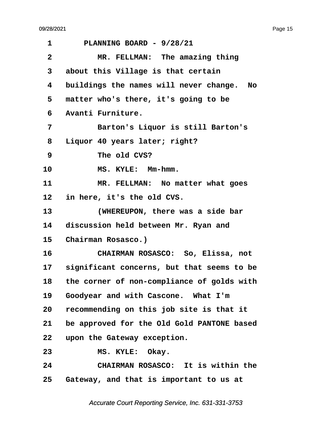<span id="page-15-0"></span>

| PLANNING BOARD - 9/28/21                         |  |
|--------------------------------------------------|--|
| MR. FELLMAN: The amazing thing                   |  |
| about this Village is that certain               |  |
| buildings the names will never change.<br>No.    |  |
| matter who's there, it's going to be             |  |
| Avanti Furniture.                                |  |
| Barton's Liquor is still Barton's                |  |
| Liquor 40 years later; right?                    |  |
| The old CVS?                                     |  |
| MS. KYLE: Mm-hmm.                                |  |
| MR. FELLMAN: No matter what goes                 |  |
| in here, it's the old CVS.                       |  |
| (WHEREUPON, there was a side bar                 |  |
| 14<br>discussion held between Mr. Ryan and       |  |
| Chairman Rosasco.)                               |  |
| CHAIRMAN ROSASCO: So, Elissa, not                |  |
| significant concerns, but that seems to be<br>17 |  |
| the corner of non-compliance of golds with       |  |
| Goodyear and with Cascone. What I'm              |  |
| recommending on this job site is that it         |  |
| be approved for the Old Gold PANTONE based       |  |
| upon the Gateway exception.                      |  |
|                                                  |  |
| MS. KYLE: Okay.                                  |  |
| CHAIRMAN ROSASCO: It is within the               |  |
|                                                  |  |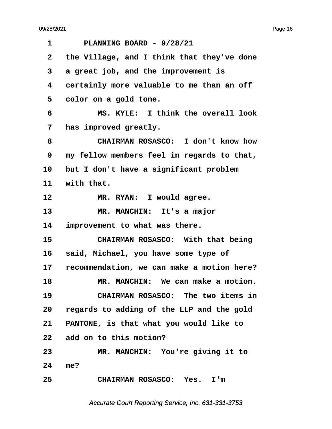<span id="page-16-0"></span>**·1· · · ·PLANNING BOARD - 9/28/21 ·2· ·the Village, and I think that they've done ·3· ·a great job, and the improvement is ·4· ·certainly more valuable to me than an off ·5· ·color on a gold tone. ·6· · · · · MS. KYLE:· I think the overall look ·7· ·has improved greatly. ·8· · · · · CHAIRMAN ROSASCO:· I don't know how ·9· ·my fellow members feel in regards to that,** 10 but I don't have a significant problem 11 with that. 12 MR. RYAN: I would agree. 13 **MR. MANCHIN:** It's a major 14 improvement to what was there. **15· · · · · CHAIRMAN ROSASCO:· With that being** 16 **said, Michael, you have some type of 17· ·recommendation, we can make a motion here? 18· · · · · MR. MANCHIN:· We can make a motion. 19· · · · · CHAIRMAN ROSASCO:· The two items in 20· ·regards to adding of the LLP and the gold 21· ·PANTONE, is that what you would like to 22· ·add on to this motion? 23· · · · · MR. MANCHIN:· You're giving it to 24· ·me? 25· · · · · CHAIRMAN ROSASCO:· Yes.· I'm**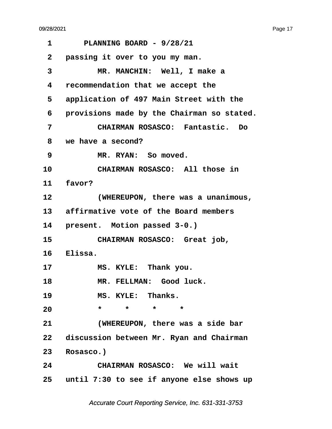<span id="page-17-0"></span>**·1· · · ·PLANNING BOARD - 9/28/21 ·2· ·passing it over to you my man. ·3· · · · · MR. MANCHIN:· Well, I make a ·4· ·recommendation that we accept the** 5 application of 497 Main Street with the **·6· ·provisions made by the Chairman so stated. ·7· · · · · CHAIRMAN ROSASCO:· Fantastic.· Do ·8· ·we have a second? ·9· · · · · MR. RYAN:· So moved.** 10 **CHAIRMAN ROSASCO:** All those in 11 **favor? 12· · · · · (WHEREUPON, there was a unanimous,** 13 affirmative vote of the Board members 14 **present.** Motion passed 3-0.) 15 **· · CHAIRMAN ROSASCO:** Great job, 16 **Elissa.** 17 **MS. KYLE:** Thank you. 18 **MR. FELLMAN:** Good luck. 19 **MS. KYLE: Thanks.** 20 \* \* \* \* \* **21· · · · · (WHEREUPON, there was a side bar** 22 discussion between Mr. Ryan and Chairman 23 Rosasco.) **24· · · · · CHAIRMAN ROSASCO:· We will wait 25· ·until 7:30 to see if anyone else shows up**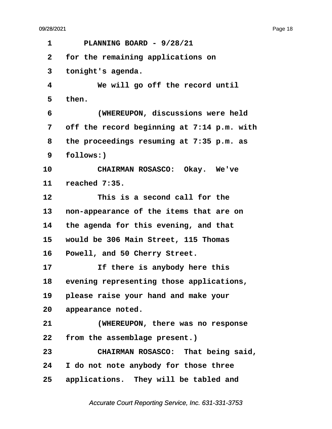<span id="page-18-0"></span>**·1· · · ·PLANNING BOARD - 9/28/21 ·2· ·for the remaining applications on ·3· ·tonight's agenda. ·4· · · · · We will go off the record until ·5· ·then. ·6· · · · · (WHEREUPON, discussions were held ·7· ·off the record beginning at 7:14 p.m. with ·8· ·the proceedings resuming at 7:35 p.m. as ·9· ·follows:)** 10 CHAIRMAN ROSASCO: Okay. We've **11· ·reached 7:35.** 12 **This is a second call for the 13· ·non-appearance of the items that are on 14· ·the agenda for this evening, and that 15· ·would be 306 Main Street, 115 Thomas** 16 Powell, and 50 Cherry Street. 17 **11 If there is anybody here this** 18 evening representing those applications, **19· ·please raise your hand and make your** 20 appearance noted. **21· · · · · (WHEREUPON, there was no response** 22 from the assemblage present.) **23· · · · · CHAIRMAN ROSASCO:· That being said, 24· ·I do not note anybody for those three** 25 applications. They will be tabled and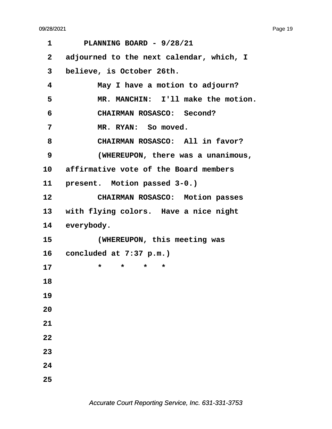| 1                 | PLANNING BOARD - 9/28/21                 |
|-------------------|------------------------------------------|
| $\mathbf{2}$      | adjourned to the next calendar, which, I |
| 3                 | believe, is October 26th.                |
| 4                 | May I have a motion to adjourn?          |
| 5                 | MR. MANCHIN: I'll make the motion.       |
| 6                 | CHAIRMAN ROSASCO: Second?                |
| 7                 | MR. RYAN: So moved.                      |
| 8                 | CHAIRMAN ROSASCO: All in favor?          |
| 9                 | (WHEREUPON, there was a unanimous,       |
| 10                | affirmative vote of the Board members    |
| 11                | present. Motion passed 3-0.)             |
| $12 \overline{ }$ | CHAIRMAN ROSASCO: Motion passes          |
| 13                | with flying colors. Have a nice night    |
| 14                | everybody.                               |
| 15                | (WHEREUPON, this meeting was             |
| $16 \,$           | concluded at 7:37 p.m.)                  |
| 17                | $\star$<br>*<br>*<br>*                   |
| 18                |                                          |
| 19                |                                          |
| 20                |                                          |
| 21                |                                          |
| 22                |                                          |
| 23                |                                          |
| 24                |                                          |
| 25                |                                          |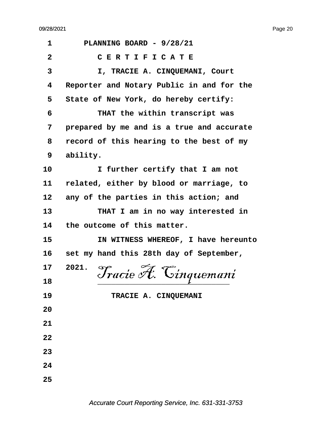| 1              | PLANNING BOARD - 9/28/21                  |
|----------------|-------------------------------------------|
| $\overline{2}$ | CERTIFICATE                               |
| 3              | I, TRACIE A. CINQUEMANI, Court            |
| 4              | Reporter and Notary Public in and for the |
| 5              | State of New York, do hereby certify:     |
| 6              | THAT the within transcript was            |
| 7              | prepared by me and is a true and accurate |
| 8              | record of this hearing to the best of my  |
| 9              | ability.                                  |
| 10             | I further certify that I am not           |
| 11             | related, either by blood or marriage, to  |
| 12             | any of the parties in this action; and    |
| 13             | THAT I am in no way interested in         |
| 14             | the outcome of this matter.               |
| 15             | IN WITNESS WHEREOF, I have hereunto       |
| 16             | set my hand this 28th day of September,   |
| 17             | 2021.<br>Tracie A. Cinquemani             |
| 18             |                                           |
| 19             | TRACIE A. CINQUEMANI                      |
| 20             |                                           |
| 21             |                                           |
| 22             |                                           |
| 23             |                                           |
| 24             |                                           |
| 25             |                                           |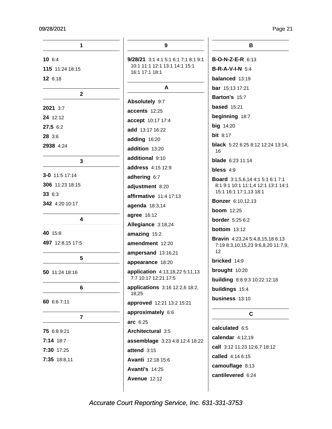| 1                | 9                                               | в                                                            |
|------------------|-------------------------------------------------|--------------------------------------------------------------|
| 106:4            | <b>9/28/21</b> 3:1 4:1 5:1 6:1 7:1 8:1 9:1      | <b>B-O-N-Z-E-R 6:13</b>                                      |
| 115 11:24 18:15  | 10:1 11:1 12:1 13:1 14:1 15:1<br>16:1 17:1 18:1 | $B-R-A-V-I-N$ 5:4                                            |
| 12 6:18          |                                                 | balanced 13:19                                               |
|                  | A                                               | <b>bar</b> 15:13 17:21                                       |
| $\mathbf{2}$     | Absolutely 9:7                                  | Barton's 15:7                                                |
| 2021 3:7         | accents 12:25                                   | <b>based</b> 15:21                                           |
| 24 12:12         |                                                 | beginning 18:7                                               |
| 27.5 6:2         | accept 10:17 17:4                               | <b>big</b> 14:20                                             |
| 28 3:6           | add 13:17 16:22                                 | bit $8:17$                                                   |
| 2938 4:24        | adding 16:20                                    | <b>black</b> 5:22 6:25 8:12 12:24 13:14,                     |
|                  | addition 13:20                                  | 16                                                           |
| 3                | additional 9:10                                 | <b>blade</b> 6:23 11:14                                      |
|                  | address 4:15 12:9                               | bless $4:9$                                                  |
| $3-0$ 11:5 17:14 | adhering 6:7                                    | <b>Board</b> 3:1,5,6,14 4:1 5:1 6:1 7:1                      |
| 306 11:23 18:15  | adjustment 8:20                                 | 8:1 9:1 10:1 11:1,4 12:1 13:1 14:1<br>15:1 16:1 17:1,13 18:1 |
| 336:3            | affirmative 11:4 17:13                          | <b>Bonzer</b> 6:10,12,13                                     |
| 342 4:20 10:17   | agenda 18:3,14                                  | <b>boom</b> 12:25                                            |
| 4                | agree 16:12                                     | <b>border</b> 5:25 6:2                                       |
|                  | Allegiance 3:18,24                              | <b>bottom</b> $13:12$                                        |
| 40 15:8          | amazing 15:2                                    | <b>Bravin</b> 4:23,24 5:4,8,15,18 6:13                       |
| 497 12:8,15 17:5 | amendment 12:20                                 | 7:19 8:3,10,15,23 9:6,8,20 11:7,9,                           |
|                  | ampersand 13:16,21                              | 12                                                           |
| $5\phantom{.0}$  | appearance 18:20                                | bricked 14:9                                                 |
| 50 11:24 18:16   | application 4:13,18,22 5:11,13                  | brought 10:20                                                |
|                  | 7:7 10:17 12:21 17:5                            | building 8:8 9:3 10:22 12:18                                 |
| 6                | applications 3:16 12:2,6 18:2,<br>18,25         | <b>buildings</b> 15:4                                        |
| 60 6:6 7:11      | approved 12:21 13:2 15:21                       | business 13:10                                               |
| 7                | approximately 6:6                               | C                                                            |
|                  | arc 6:25                                        |                                                              |
| 75 6:8 9:21      | Architectural 3:5                               | calculated 6:5                                               |
| 7:14 18:7        | assemblage 3:23 4:8 12:4 18:22                  | calendar $4:12,19$                                           |
| 7:30 17:25       | attend $3:15$                                   | call 3:12 11:23 12:6,7 18:12                                 |
| 7:35 18:8,11     | Avanti 12:18 15:6                               | called 4:14 6:15                                             |
|                  | <b>Avanti's 14:25</b>                           | camouflage 8:13                                              |
|                  | <b>Avenue 12:12</b>                             | cantilevered 6:24                                            |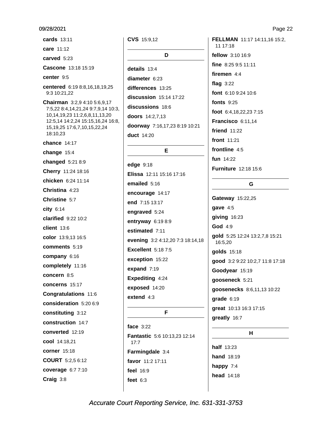cards 13:11 care 11:12 carved 5:23 Cascone 13:18 15:19 center 9:5 centered 6:19 8:8,16,18,19,25 9:3 10:21,22 Chairman 3:2,9 4:10 5:6,9,17 7:5,22 8:4,14,21,24 9:7,9,14 10:3, 10,14,19,23 11:2,6,8,11,13,20 12:5,14 14:2,24 15:15,16,24 16:8, 15, 19, 25 17: 6, 7, 10, 15, 22, 24 18:10,23 chance 14:17 change  $15:4$ changed 5:21 8:9 Cherry 11:24 18:16 chicken 6:24 11:14 Christina 4:23 Christine 5:7  $city$  6:14 **clarified** 9:22 10:2 client 13:6 color 13:9.13 16:5 comments 5:19 company 6:16 completely 11:16 concern 8:5 concerns 15:17 **Congratulations 11:6** consideration 5:20 6:9 constituting 3:12 construction 14:7 converted 12:19 cool 14:18,21 corner 15:18 **COURT** 5:2,5 6:12 coverage 6:7 7:10 Craig 3:8

CVS 15:9.12 D details 13:4 diameter 6:23 differences 13:25 discussion 15:14 17:22 discussions 18:6 doors 14:2,7,13 doorway 7:16,17,23 8:19 10:21 **duct** 14:20

### E

edae 9:18 Elissa 12:11 15:16 17:16 emailed 5:16 encourage 14:17 end 7:15 13:17 engraved 5:24 entryway 6:19 8:9 estimated 7:11 evening 3:2 4:12,20 7:3 18:14,18 **Excellent** 5:18 7:5 exception 15:22 expand 7:19 Expediting 4:24 exposed 14:20 extend  $4:3$ 

### F

face  $3:22$ Fantastic 5:6 10:13,23 12:14  $17:7$ Farmingdale 3:4 favor 11:2 17:11 feel 16:9 feet  $6:3$ 

FELLMAN 11:17 14:11,16 15:2, 11 17:18 fellow 3:10 16:9 fine 8:25 9:5 11:11 firemen  $4:4$ flag  $3:22$ font 6:10 9:24 10:6 fonts  $9:25$ foot 6:4,18,22,237:15 Francisco 6:11,14 friend 11:22 front 11:21 frontline  $4:5$ fun 14:22 **Furniture** 12:18 15:6

### G

Gateway 15:22,25 gave 4:5 giving 16:23 God 4:9 gold 5:25 12:24 13:2,7,8 15:21 16:5,20 golds 15:18 good 3:2 9:22 10:2,7 11:8 17:18 Goodyear 15:19 gooseneck 5:21 goosenecks 8:6,11,13 10:22  $grade 6:19$ great 10:13 16:3 17:15 greatly 16:7

### $H$

**half** 13:23 hand 18:19 happy 7:4 head 14:18 Page 22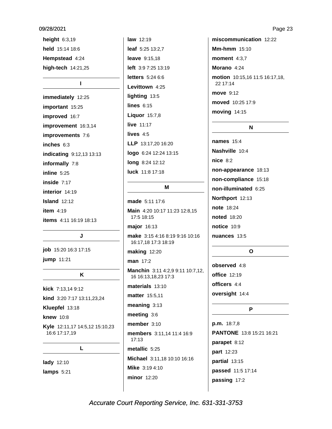height  $6:3,19$ held 15:14 18:6 Hempstead 4:24 high-tech 14:21,25

### $\mathbf{I}$

immediately 12:25 important 15:25 improved 16:7 improvement 16:3,14 improvements 7:6 inches 6:3 indicating 9:12,13 13:13 informally 7:8 inline  $5:25$ inside 7:17 interior 14:19 Island  $12:12$ item  $4:19$ **items** 4:11 16:19 18:13

### J

job 15:20 16:3 17:15 jump 11:21

### K

kick 7:13,14 9:12 kind 3:20 7:17 13:11,23,24 Kluepfel 13:18 **knew** 10:8 Kyle 12:11,17 14:5,12 15:10,23 16:6 17:17,19

L

lady 12:10 lamps 5:21 law 12:19 leaf 5:25 13:2.7 **leave** 9:15,18 left 3:9 7:25 13:19 **letters** 5:24 6:6 Levittown 4:25 lighting 13:5 lines  $6:15$ **Liquor** 15:7,8 live 11:17 lives  $4:5$ LLP 13:17,20 16:20 logo 6:24 12:24 13:15 long 8:24 12:12 luck 11:8 17:18

### M

made 5:11 17:6 Main 4:20 10:17 11:23 12:8,15 17:5 18:15 major 16:13 make 3:15 4:16 8:19 9:16 10:16 16:17,18 17:3 18:19 **making 12:20** man 17:2 Manchin 3:11 4:2,9 9:11 10:7,12, 16 16:13,18,23 17:3 materials 13:10 **matter** 15:5,11  $meaning$  3:13 meeting 3:6 member 3:10 members 3:11,14 11:4 16:9  $17:13$ metallic 5:25 Michael 3:11,18 10:10 16:16 Mike 3:19 4:10 **minor** 12:20

miscommunication 12:22 Mm-hmm  $15:10$ moment  $4:3.7$ Morano 4:24 motion 10:15,16 11:5 16:17,18, 22 17:14 move 9:12 moved 10:25 17:9 moving 14:15

### N

**names** 15:4 Nashville 10:4  $nice 8:2$ non-appearance 18:13 non-compliance 15:18 non-illuminated 6:25 Northport 12:13 note 18:24 **noted** 18:20 notice 10:9 nuances 13:5

### $\mathbf{o}$

observed 4:8 **office** 12:19 officers 4:4 oversight 14:4

### P

 $p.m. 18:7,8$ PANTONE 13:8 15:21 16:21 parapet 8:12 part 12:23 partial 13:15 passed 11:5 17:14 passing 17:2

Page 23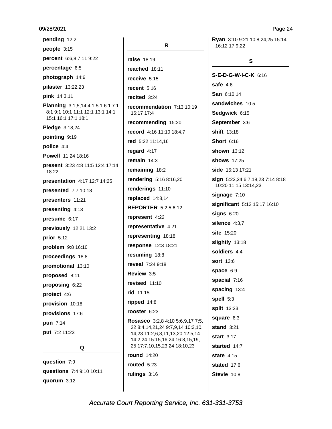pending 12:2 people 3:15 percent 6:6,8 7:11 9:22 percentage 6:5 photograph 14:6 pilaster 13:22,23 pink 14:3,11 Planning 3:1,5,14 4:1 5:1 6:1 7:1 8:1 9:1 10:1 11:1 12:1 13:1 14:1 15:1 16:1 17:1 18:1 Pledge 3:18,24 pointing 9:19 police 4:4 Powell 11:24 18:16 present 3:23 4:8 11:5 12:4 17:14 18:22 presentation 4:17 12:7 14:25 presented 7:7 10:18 presenters 11:21 presenting 4:13 presume 6:17 previously 12:21 13:2 prior  $5:12$ problem 9:8 16:10 proceedings 18:8 promotional 13:10 proposed 8:11 proposing 6:22 protect 4:6 provision 10:18 provisions 17:6 pun 7:14 put 7:2 11:23

question 7:9 questions 7:4 9:10 10:11 quorum 3:12

Q

R raise 18:19 reached 18:11 receive 5:15 recent  $5:16$ recited 3:24 recommendation 7:13 10:19 16:17 17:4 recommending 15:20 record 4:16 11:10 18:4,7 red 5:22 11:14,16 regard 4:17 remain  $14:3$ remaining 18:2 rendering 5:16 8:16,20 renderings 11:10 replaced 14:8,14 **REPORTER** 5:2,5 6:12 represent 4:22 representative 4:21 representing 18:18 response 12:3 18:21 resuming 18:8 reveal 7:24 9:18 Review 3.5 revised 11:10 rid 11:15 ripped 14:8 rooster 6:23 Rosasco 3:2,8 4:10 5:6,9,17 7:5, 22 8:4,14,21,24 9:7,9,14 10:3,10, 14,23 11:2,6,8,11,13,20 12:5,14 14:2,24 15:15,16,24 16:8,15,19, 25 17:7,10,15,23,24 18:10,23 **round** 14:20 routed  $5:23$ rulings 3:16

Ryan 3:10 9:21 10:8,24,25 15:14 16:12 17:9.22

### S

S-E-D-G-W-I-C-K 6:16 safe  $4:6$ San 6:10,14 sandwiches 10:5 Sedgwick 6:15 September 3:6 shift 13:18 **Short 6:16** shown 13:12 **shows** 17:25 side 15:13 17:21 sign 5:23,24 6:7,18,23 7:14 8:18 10:20 11:15 13:14,23 signage 7:10 significant 5:12 15:17 16:10  $signs$  6:20 silence 4:3.7 site 15:20 slightly 13:18 soldiers 4:4 **sort** 13:6 space 6:9 spacial 7:16 spacing 13:4 spell 5:3 split 13:23 square 6:3 stand  $3:21$ start  $3:17$ started 14:7 state  $4:15$ stated 17:6 Stevie 10:8

### Page 24